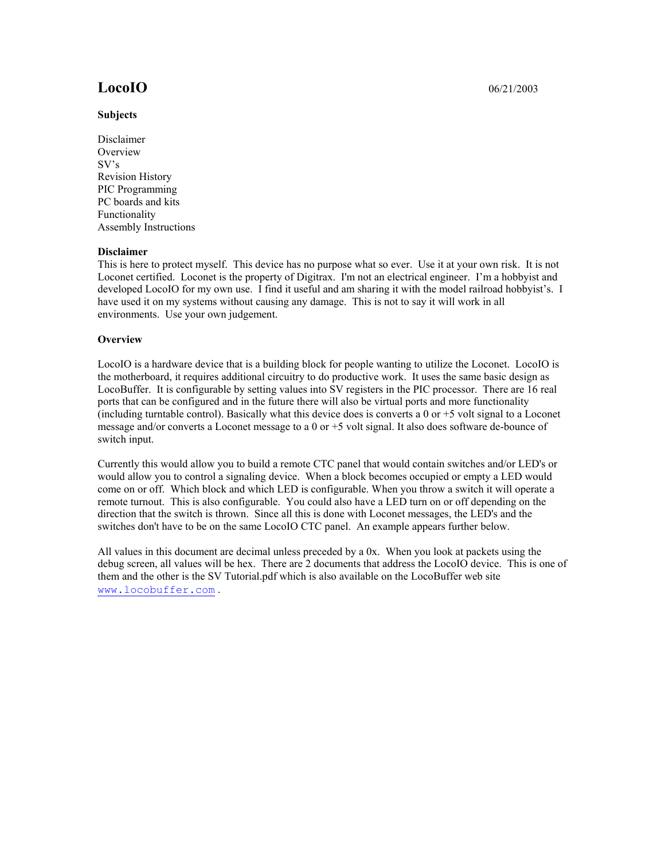# **LocoIO** 06/21/2003

## **Subjects**

Disclaimer **Overview**  $SV's$ Revision History PIC Programming PC boards and kits Functionality Assembly Instructions

## **Disclaimer**

This is here to protect myself. This device has no purpose what so ever. Use it at your own risk. It is not Loconet certified. Loconet is the property of Digitrax. I'm not an electrical engineer. I'm a hobbyist and developed LocoIO for my own use. I find it useful and am sharing it with the model railroad hobbyist's. I have used it on my systems without causing any damage. This is not to say it will work in all environments. Use your own judgement.

#### **Overview**

LocoIO is a hardware device that is a building block for people wanting to utilize the Loconet. LocoIO is the motherboard, it requires additional circuitry to do productive work. It uses the same basic design as LocoBuffer. It is configurable by setting values into SV registers in the PIC processor. There are 16 real ports that can be configured and in the future there will also be virtual ports and more functionality (including turntable control). Basically what this device does is converts a 0 or +5 volt signal to a Loconet message and/or converts a Loconet message to a 0 or +5 volt signal. It also does software de-bounce of switch input.

Currently this would allow you to build a remote CTC panel that would contain switches and/or LED's or would allow you to control a signaling device. When a block becomes occupied or empty a LED would come on or off. Which block and which LED is configurable. When you throw a switch it will operate a remote turnout. This is also configurable. You could also have a LED turn on or off depending on the direction that the switch is thrown. Since all this is done with Loconet messages, the LED's and the switches don't have to be on the same LocoIO CTC panel. An example appears further below.

All values in this document are decimal unless preceded by a 0x. When you look at packets using the debug screen, all values will be hex. There are 2 documents that address the LocoIO device. This is one of them and the other is the SV Tutorial.pdf which is also available on the LocoBuffer web site www.locobuffer.com .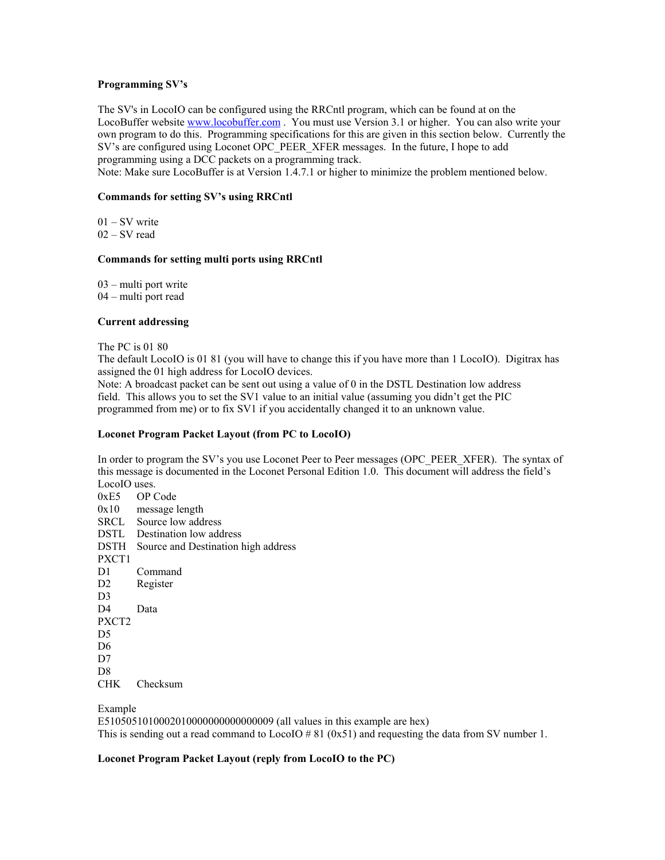## **Programming SV's**

The SV's in LocoIO can be configured using the RRCntl program, which can be found at on the LocoBuffer website www.locobuffer.com . You must use Version 3.1 or higher. You can also write your own program to do this. Programming specifications for this are given in this section below. Currently the SV's are configured using Loconet OPC\_PEER\_XFER messages. In the future, I hope to add programming using a DCC packets on a programming track.

## Note: Make sure LocoBuffer is at Version 1.4.7.1 or higher to minimize the problem mentioned below.

## **Commands for setting SV's using RRCntl**

01 – SV write 02 – SV read

#### **Commands for setting multi ports using RRCntl**

03 – multi port write 04 – multi port read

## **Current addressing**

The PC is 01 80

The default LocoIO is 01 81 (you will have to change this if you have more than 1 LocoIO). Digitrax has assigned the 01 high address for LocoIO devices.

Note: A broadcast packet can be sent out using a value of 0 in the DSTL Destination low address field. This allows you to set the SV1 value to an initial value (assuming you didn't get the PIC programmed from me) or to fix SV1 if you accidentally changed it to an unknown value.

#### **Loconet Program Packet Layout (from PC to LocoIO)**

In order to program the SV's you use Loconet Peer to Peer messages (OPC\_PEER\_XFER). The syntax of this message is documented in the Loconet Personal Edition 1.0. This document will address the field's LocoIO uses. 0xE5 OP Code 0x10 message length SRCL Source low address DSTL Destination low address DSTH Source and Destination high address PXCT1 D1 Command D<sub>2</sub> Register D<sub>3</sub>

D4 Data PXCT2  $D<sub>5</sub>$ D6 D7 D<sub>8</sub> CHK Checksum

Example

E5105051010002010000000000000009 (all values in this example are hex) This is sending out a read command to  $LocoIO # 81 (0x51)$  and requesting the data from SV number 1.

## **Loconet Program Packet Layout (reply from LocoIO to the PC)**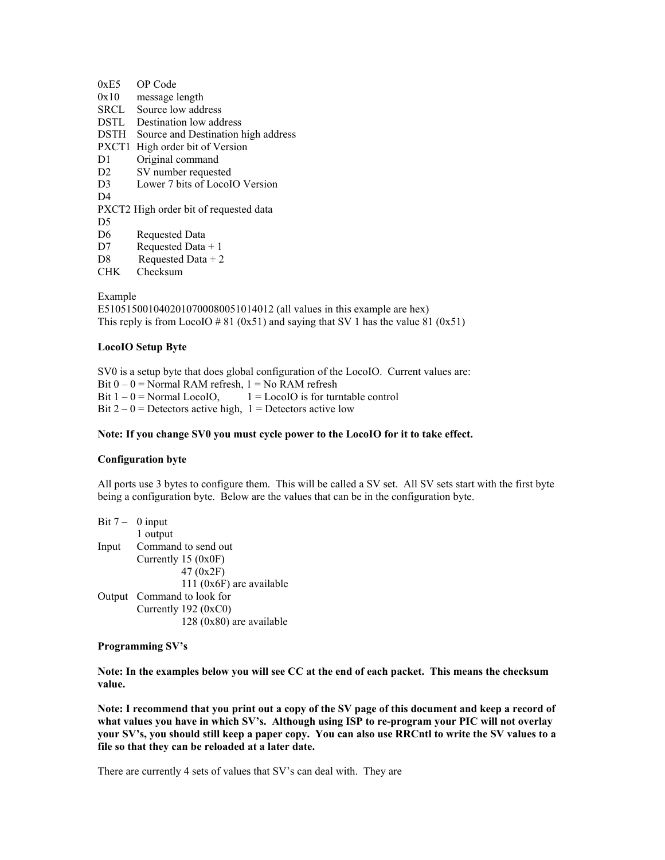0xE5 OP Code 0x10 message length SRCL Source low address DSTL Destination low address DSTH Source and Destination high address PXCT1 High order bit of Version D1 Original command D<sub>2</sub> SV number requested D3 Lower 7 bits of LocoIO Version D4 PXCT2 High order bit of requested data  $D<sub>5</sub>$ D6 Requested Data D7 Requested Data + 1 D8 Requested Data  $+2$ 

CHK Checksum

Example

E5105150010402010700080051014012 (all values in this example are hex) This reply is from LocoIO  $\# 81$  (0x51) and saying that SV 1 has the value 81 (0x51)

#### **LocoIO Setup Byte**

SV0 is a setup byte that does global configuration of the LocoIO. Current values are: Bit  $0 - 0$  = Normal RAM refresh,  $1 = No$  RAM refresh Bit  $1 - 0$  = Normal LocoIO,  $1 =$  LocoIO is for turntable control Bit  $2 - 0$  = Detectors active high,  $1 =$  Detectors active low

## **Note: If you change SV0 you must cycle power to the LocoIO for it to take effect.**

#### **Configuration byte**

All ports use 3 bytes to configure them. This will be called a SV set. All SV sets start with the first byte being a configuration byte. Below are the values that can be in the configuration byte.

Bit  $7 - 0$  input 1 output Input Command to send out Currently 15 (0x0F) 47 (0x2F) 111 (0x6F) are available Output Command to look for Currently 192 (0xC0) 128 (0x80) are available

#### **Programming SV's**

**Note: In the examples below you will see CC at the end of each packet. This means the checksum value.** 

**Note: I recommend that you print out a copy of the SV page of this document and keep a record of what values you have in which SV's. Although using ISP to re-program your PIC will not overlay your SV's, you should still keep a paper copy. You can also use RRCntl to write the SV values to a file so that they can be reloaded at a later date.** 

There are currently 4 sets of values that SV's can deal with. They are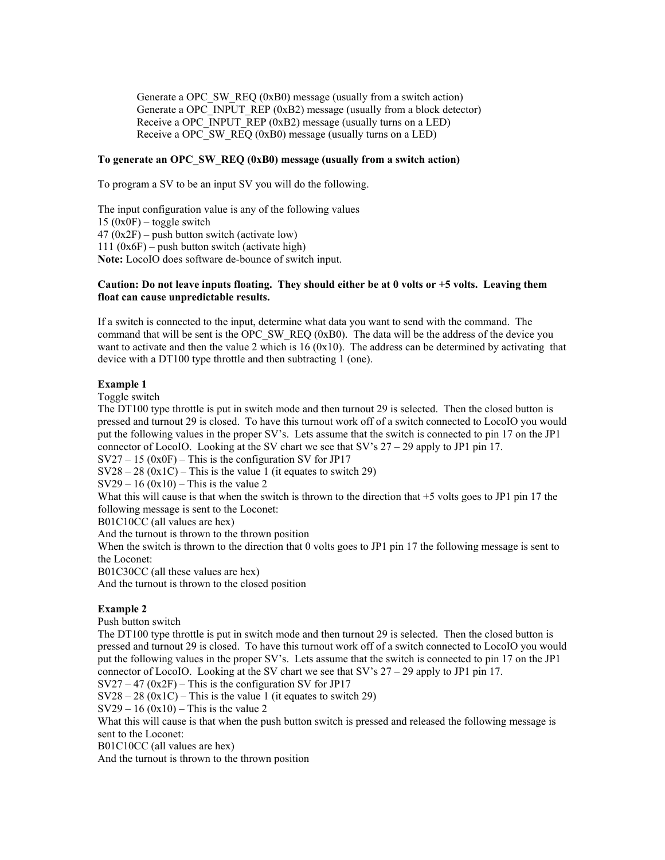Generate a OPC\_SW\_REQ (0xB0) message (usually from a switch action) Generate a OPC\_INPUT\_REP  $(0xB2)$  message (usually from a block detector) Receive a OPC\_INPUT\_REP  $(0xB2)$  message (usually turns on a LED) Receive a OPC\_SW\_REQ (0xB0) message (usually turns on a LED)

#### **To generate an OPC\_SW\_REQ (0xB0) message (usually from a switch action)**

To program a SV to be an input SV you will do the following.

The input configuration value is any of the following values  $15 (0x0F) -$ toggle switch  $47 (0x2F)$  – push button switch (activate low)  $111 (0x6F)$  – push button switch (activate high) **Note:** LocoIO does software de-bounce of switch input.

#### **Caution: Do not leave inputs floating. They should either be at 0 volts or +5 volts. Leaving them float can cause unpredictable results.**

If a switch is connected to the input, determine what data you want to send with the command. The command that will be sent is the OPC\_SW\_REQ  $(0xB0)$ . The data will be the address of the device you want to activate and then the value 2 which is  $16 (0x10)$ . The address can be determined by activating that device with a DT100 type throttle and then subtracting 1 (one).

#### **Example 1**

Toggle switch

The DT100 type throttle is put in switch mode and then turnout 29 is selected. Then the closed button is pressed and turnout 29 is closed. To have this turnout work off of a switch connected to LocoIO you would put the following values in the proper SV's. Lets assume that the switch is connected to pin 17 on the JP1 connector of LocoIO. Looking at the SV chart we see that SV's 27 – 29 apply to JP1 pin 17.

 $SV27 - 15 (0x0F) - This is the configuration SV for JP17$ 

 $SV28 - 28(0x1C) - This is the value 1 (it equates to switch 29)$ 

SV29 – 16 (0x10) – This is the value 2

What this will cause is that when the switch is thrown to the direction that  $+5$  volts goes to JP1 pin 17 the following message is sent to the Loconet:

B01C10CC (all values are hex)

And the turnout is thrown to the thrown position

When the switch is thrown to the direction that 0 volts goes to JP1 pin 17 the following message is sent to the Loconet:

B01C30CC (all these values are hex)

And the turnout is thrown to the closed position

## **Example 2**

Push button switch

The DT100 type throttle is put in switch mode and then turnout 29 is selected. Then the closed button is pressed and turnout 29 is closed. To have this turnout work off of a switch connected to LocoIO you would put the following values in the proper SV's. Lets assume that the switch is connected to pin 17 on the JP1 connector of LocoIO. Looking at the SV chart we see that SV's 27 – 29 apply to JP1 pin 17.

 $SV27 - 47 (0x2F) - This is the configuration SV for JP17$ 

 $SV28 - 28 (0x1C) - This is the value 1 (it equates to switch 29)$ 

 $SV29 - 16 (0x10) - This is the value 2$ 

What this will cause is that when the push button switch is pressed and released the following message is sent to the Loconet:

B01C10CC (all values are hex)

And the turnout is thrown to the thrown position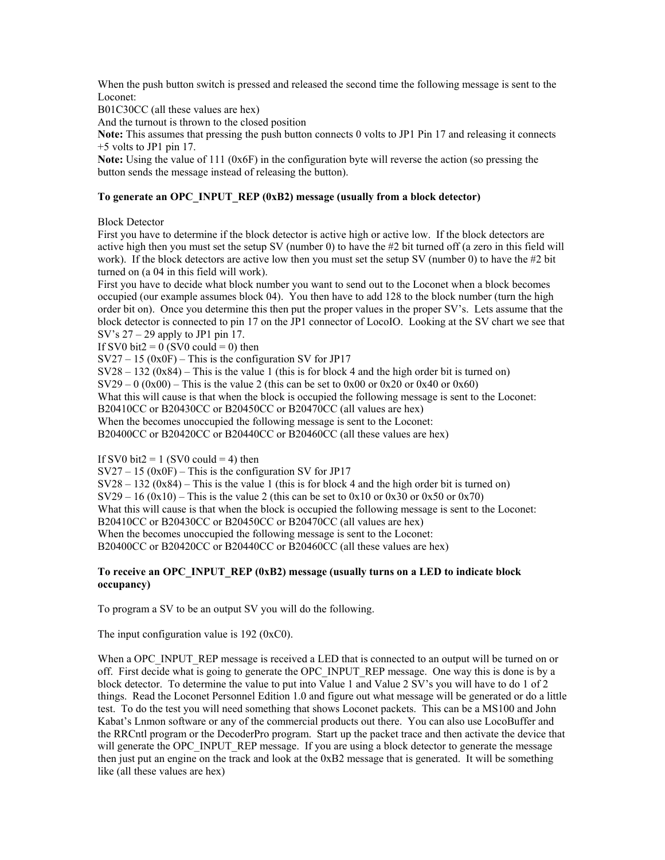When the push button switch is pressed and released the second time the following message is sent to the Loconet:

B01C30CC (all these values are hex)

And the turnout is thrown to the closed position

**Note:** This assumes that pressing the push button connects 0 volts to JP1 Pin 17 and releasing it connects +5 volts to JP1 pin 17.

**Note:** Using the value of 111 (0x6F) in the configuration byte will reverse the action (so pressing the button sends the message instead of releasing the button).

## **To generate an OPC\_INPUT\_REP (0xB2) message (usually from a block detector)**

Block Detector

First you have to determine if the block detector is active high or active low. If the block detectors are active high then you must set the setup SV (number 0) to have the #2 bit turned off (a zero in this field will work). If the block detectors are active low then you must set the setup SV (number 0) to have the #2 bit turned on (a 04 in this field will work).

First you have to decide what block number you want to send out to the Loconet when a block becomes occupied (our example assumes block 04). You then have to add 128 to the block number (turn the high order bit on). Once you determine this then put the proper values in the proper SV's. Lets assume that the block detector is connected to pin 17 on the JP1 connector of LocoIO. Looking at the SV chart we see that SV's  $27 - 29$  apply to JP1 pin 17.

If SV0 bit2 = 0 (SV0 could = 0) then

 $SV27 - 15 (0x0F) - This is the configuration SV for JP17$ 

 $SV28 - 132 (0x84) - This is the value 1 (this is for block 4 and the high order bit is turned on)$ 

 $SV29 - 0$  (0x00) – This is the value 2 (this can be set to 0x00 or 0x20 or 0x40 or 0x60)

What this will cause is that when the block is occupied the following message is sent to the Loconet:

B20410CC or B20430CC or B20450CC or B20470CC (all values are hex)

When the becomes unoccupied the following message is sent to the Loconet:

B20400CC or B20420CC or B20440CC or B20460CC (all these values are hex)

If SV0 bit2 = 1 (SV0 could = 4) then

 $SV27 - 15 (0x0F) - This is the configuration SV for JP17$ 

 $S<sup>V28</sup> - 132 (0x84) - This is the value 1 (this is for block 4 and the high order bit is turned on)$ 

 $SV29 - 16 (0x10) - This is the value 2 (this can be set to 0x10 or 0x30 or 0x50 or 0x70)$ 

What this will cause is that when the block is occupied the following message is sent to the Loconet:

B20410CC or B20430CC or B20450CC or B20470CC (all values are hex)

When the becomes unoccupied the following message is sent to the Loconet:

B20400CC or B20420CC or B20440CC or B20460CC (all these values are hex)

## **To receive an OPC\_INPUT\_REP (0xB2) message (usually turns on a LED to indicate block occupancy)**

To program a SV to be an output SV you will do the following.

The input configuration value is 192 (0xC0).

When a OPC INPUT REP message is received a LED that is connected to an output will be turned on or off. First decide what is going to generate the OPC\_INPUT\_REP message. One way this is done is by a block detector. To determine the value to put into Value 1 and Value 2 SV's you will have to do 1 of 2 things. Read the Loconet Personnel Edition 1.0 and figure out what message will be generated or do a little test. To do the test you will need something that shows Loconet packets. This can be a MS100 and John Kabat's Lnmon software or any of the commercial products out there. You can also use LocoBuffer and the RRCntl program or the DecoderPro program. Start up the packet trace and then activate the device that will generate the OPC\_INPUT\_REP message. If you are using a block detector to generate the message then just put an engine on the track and look at the 0xB2 message that is generated. It will be something like (all these values are hex)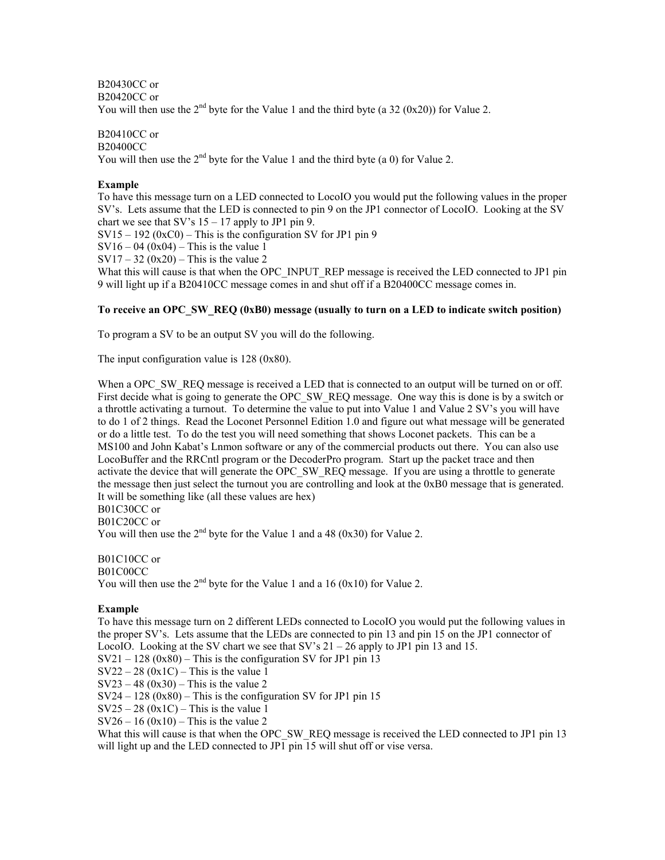B20430CC or B20420CC or You will then use the  $2<sup>nd</sup>$  byte for the Value 1 and the third byte (a 32 (0x20)) for Value 2.

B20410CC or B20400CC You will then use the  $2<sup>nd</sup>$  byte for the Value 1 and the third byte (a 0) for Value 2.

#### **Example**

To have this message turn on a LED connected to LocoIO you would put the following values in the proper SV's. Lets assume that the LED is connected to pin 9 on the JP1 connector of LocoIO. Looking at the SV chart we see that SV's  $15 - 17$  apply to JP1 pin 9.

 $SV15 - 192 (0xC0) - This is the configuration SV for JP1 pin 9$ 

 $SV16 - 04 (0x04) - This is the value 1$ 

 $SV17 - 32 (0x20) - This is the value 2$ 

What this will cause is that when the OPC\_INPUT\_REP message is received the LED connected to JP1 pin 9 will light up if a B20410CC message comes in and shut off if a B20400CC message comes in.

#### **To receive an OPC\_SW\_REQ (0xB0) message (usually to turn on a LED to indicate switch position)**

To program a SV to be an output SV you will do the following.

The input configuration value is 128 (0x80).

When a OPC\_SW\_REQ message is received a LED that is connected to an output will be turned on or off. First decide what is going to generate the OPC\_SW\_REQ message. One way this is done is by a switch or a throttle activating a turnout. To determine the value to put into Value 1 and Value 2 SV's you will have to do 1 of 2 things. Read the Loconet Personnel Edition 1.0 and figure out what message will be generated or do a little test. To do the test you will need something that shows Loconet packets. This can be a MS100 and John Kabat's Lnmon software or any of the commercial products out there. You can also use LocoBuffer and the RRCntl program or the DecoderPro program. Start up the packet trace and then activate the device that will generate the OPC\_SW\_REQ message. If you are using a throttle to generate the message then just select the turnout you are controlling and look at the 0xB0 message that is generated. It will be something like (all these values are hex) B01C30CC or

B01C20CC or

You will then use the  $2<sup>nd</sup>$  byte for the Value 1 and a 48 (0x30) for Value 2.

B01C10CC or B01C00CC You will then use the  $2^{nd}$  byte for the Value 1 and a 16 (0x10) for Value 2.

## **Example**

To have this message turn on 2 different LEDs connected to LocoIO you would put the following values in the proper SV's. Lets assume that the LEDs are connected to pin 13 and pin 15 on the JP1 connector of LocoIO. Looking at the SV chart we see that SV's  $21 - 26$  apply to JP1 pin 13 and 15.

 $SV21 - 128 (0x80) - This is the configuration SV for JP1 pin 13$ 

 $SV22 - 28 (0x1C) - This is the value 1$ 

 $SV23 - 48 (0x30) - This is the value 2$ 

 $SV24 - 128 (0x80) - This is the configuration SV for JPI pin 15$ 

 $SV25 - 28(0x1C) - This is the value 1$ 

 $SV26 - 16(0x10) - This is the value 2$ 

What this will cause is that when the OPC\_SW\_REQ message is received the LED connected to JP1 pin 13 will light up and the LED connected to JP $\overline{1}$  pin  $\overline{15}$  will shut off or vise versa.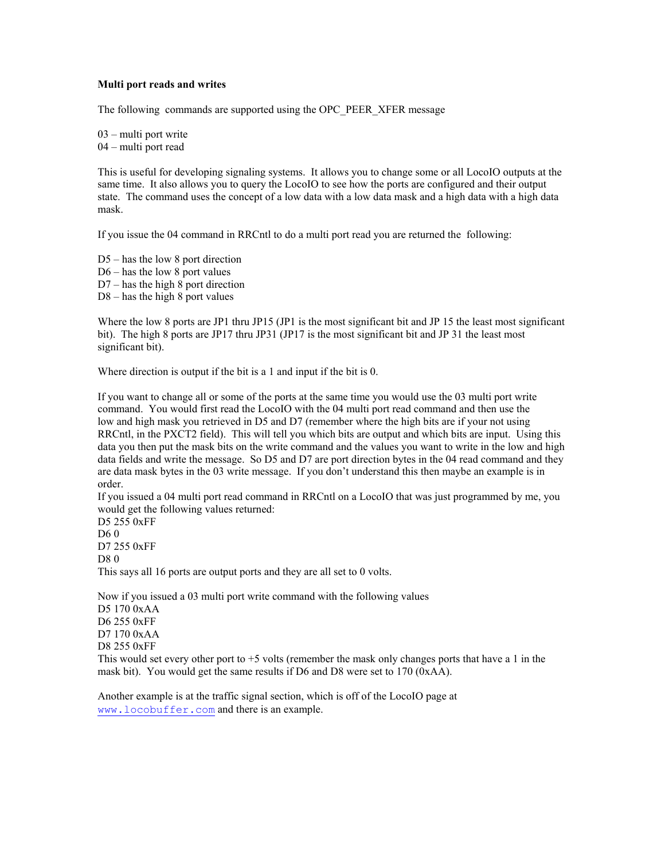#### **Multi port reads and writes**

The following commands are supported using the OPC\_PEER\_XFER message

03 – multi port write 04 – multi port read

This is useful for developing signaling systems. It allows you to change some or all LocoIO outputs at the same time. It also allows you to query the LocoIO to see how the ports are configured and their output state. The command uses the concept of a low data with a low data mask and a high data with a high data mask.

If you issue the 04 command in RRCntl to do a multi port read you are returned the following:

D5 – has the low 8 port direction D6 – has the low 8 port values D7 – has the high 8 port direction D8 – has the high 8 port values

Where the low 8 ports are JP1 thru JP15 (JP1 is the most significant bit and JP 15 the least most significant bit). The high 8 ports are JP17 thru JP31 (JP17 is the most significant bit and JP 31 the least most significant bit).

Where direction is output if the bit is a 1 and input if the bit is 0.

If you want to change all or some of the ports at the same time you would use the 03 multi port write command. You would first read the LocoIO with the 04 multi port read command and then use the low and high mask you retrieved in D5 and D7 (remember where the high bits are if your not using RRCntl, in the PXCT2 field). This will tell you which bits are output and which bits are input. Using this data you then put the mask bits on the write command and the values you want to write in the low and high data fields and write the message. So D5 and D7 are port direction bytes in the 04 read command and they are data mask bytes in the 03 write message. If you don't understand this then maybe an example is in order.

If you issued a 04 multi port read command in RRCntl on a LocoIO that was just programmed by me, you would get the following values returned:

D5 255 0xFF D6 0 D7 255 0xFF D<sub>8</sub> 0 This says all 16 ports are output ports and they are all set to 0 volts.

Now if you issued a 03 multi port write command with the following values D5 170 0xAA D6 255 0xFF D7 170 0xAA D8 255 0xFF This would set every other port to +5 volts (remember the mask only changes ports that have a 1 in the mask bit). You would get the same results if D6 and D8 were set to 170 (0xAA).

Another example is at the traffic signal section, which is off of the LocoIO page at www.locobuffer.com and there is an example.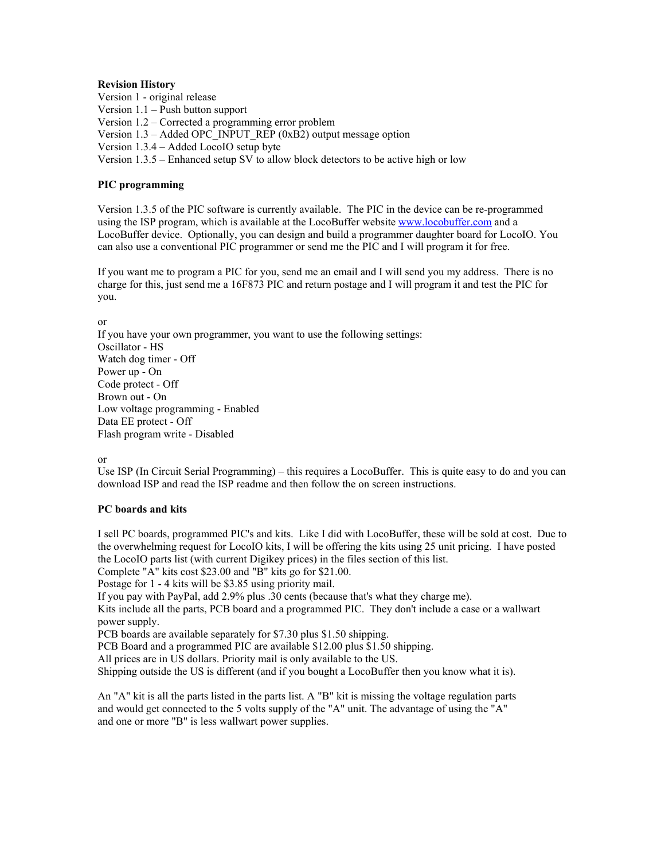#### **Revision History**

Version 1 - original release

Version 1.1 – Push button support

Version 1.2 – Corrected a programming error problem

Version 1.3 – Added OPC\_INPUT\_REP (0xB2) output message option

Version 1.3.4 – Added LocoIO setup byte

Version 1.3.5 – Enhanced setup SV to allow block detectors to be active high or low

## **PIC programming**

Version 1.3.5 of the PIC software is currently available. The PIC in the device can be re-programmed using the ISP program, which is available at the LocoBuffer website www.locobuffer.com and a LocoBuffer device. Optionally, you can design and build a programmer daughter board for LocoIO. You can also use a conventional PIC programmer or send me the PIC and I will program it for free.

If you want me to program a PIC for you, send me an email and I will send you my address. There is no charge for this, just send me a 16F873 PIC and return postage and I will program it and test the PIC for you.

or

If you have your own programmer, you want to use the following settings: Oscillator - HS Watch dog timer - Off Power up - On Code protect - Off Brown out - On Low voltage programming - Enabled Data EE protect - Off Flash program write - Disabled

or

Use ISP (In Circuit Serial Programming) – this requires a LocoBuffer. This is quite easy to do and you can download ISP and read the ISP readme and then follow the on screen instructions.

## **PC boards and kits**

I sell PC boards, programmed PIC's and kits. Like I did with LocoBuffer, these will be sold at cost. Due to the overwhelming request for LocoIO kits, I will be offering the kits using 25 unit pricing. I have posted the LocoIO parts list (with current Digikey prices) in the files section of this list.

Complete "A" kits cost \$23.00 and "B" kits go for \$21.00.

Postage for 1 - 4 kits will be \$3.85 using priority mail.

If you pay with PayPal, add 2.9% plus .30 cents (because that's what they charge me).

Kits include all the parts, PCB board and a programmed PIC. They don't include a case or a wallwart power supply.

PCB boards are available separately for \$7.30 plus \$1.50 shipping.

PCB Board and a programmed PIC are available \$12.00 plus \$1.50 shipping.

All prices are in US dollars. Priority mail is only available to the US.

Shipping outside the US is different (and if you bought a LocoBuffer then you know what it is).

An "A" kit is all the parts listed in the parts list. A "B" kit is missing the voltage regulation parts and would get connected to the 5 volts supply of the "A" unit. The advantage of using the "A" and one or more "B" is less wallwart power supplies.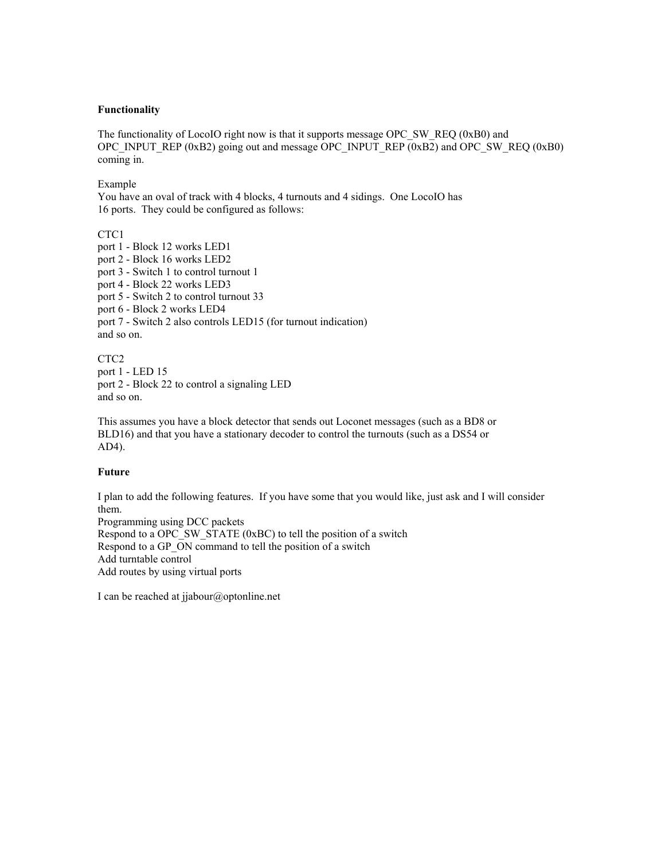#### **Functionality**

The functionality of LocoIO right now is that it supports message OPC\_SW\_REQ (0xB0) and OPC\_INPUT\_REP (0xB2) going out and message OPC\_INPUT\_REP (0xB2) and OPC\_SW\_REQ (0xB0) coming in.

Example

You have an oval of track with 4 blocks, 4 turnouts and 4 sidings. One LocoIO has 16 ports. They could be configured as follows:

CTC1 port 1 - Block 12 works LED1 port 2 - Block 16 works LED2 port 3 - Switch 1 to control turnout 1 port 4 - Block 22 works LED3 port 5 - Switch 2 to control turnout 33 port 6 - Block 2 works LED4 port 7 - Switch 2 also controls LED15 (for turnout indication) and so on.

CTC2 port 1 - LED 15 port 2 - Block 22 to control a signaling LED and so on.

This assumes you have a block detector that sends out Loconet messages (such as a BD8 or BLD16) and that you have a stationary decoder to control the turnouts (such as a DS54 or AD4).

#### **Future**

I plan to add the following features. If you have some that you would like, just ask and I will consider them.

Programming using DCC packets Respond to a OPC\_SW\_STATE (0xBC) to tell the position of a switch Respond to a GP\_ON command to tell the position of a switch Add turntable control Add routes by using virtual ports

I can be reached at jjabour@optonline.net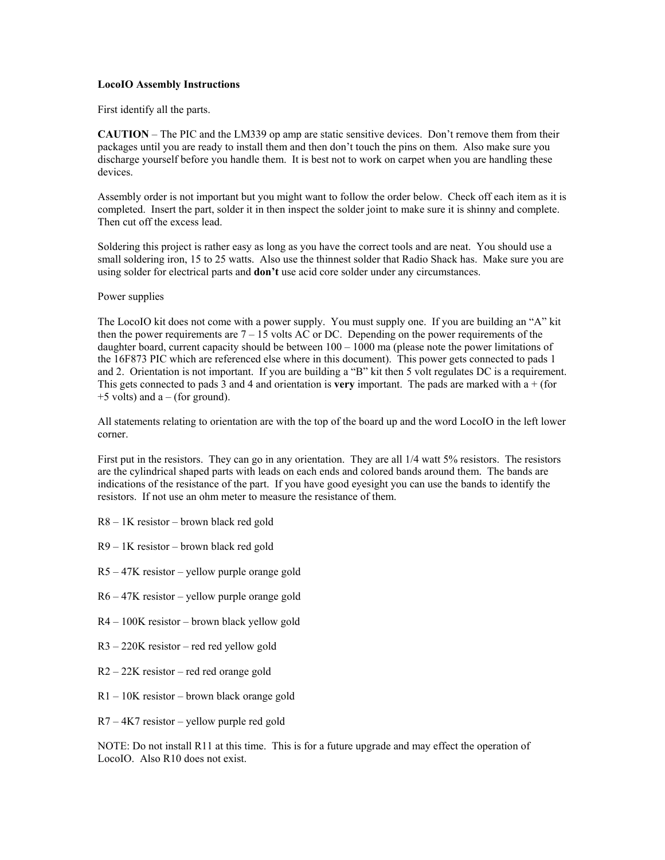## **LocoIO Assembly Instructions**

First identify all the parts.

**CAUTION** – The PIC and the LM339 op amp are static sensitive devices. Don't remove them from their packages until you are ready to install them and then don't touch the pins on them. Also make sure you discharge yourself before you handle them. It is best not to work on carpet when you are handling these devices.

Assembly order is not important but you might want to follow the order below. Check off each item as it is completed. Insert the part, solder it in then inspect the solder joint to make sure it is shinny and complete. Then cut off the excess lead.

Soldering this project is rather easy as long as you have the correct tools and are neat. You should use a small soldering iron, 15 to 25 watts. Also use the thinnest solder that Radio Shack has. Make sure you are using solder for electrical parts and **don't** use acid core solder under any circumstances.

#### Power supplies

The LocoIO kit does not come with a power supply. You must supply one. If you are building an "A" kit then the power requirements are  $7 - 15$  volts AC or DC. Depending on the power requirements of the daughter board, current capacity should be between  $100 - 1000$  ma (please note the power limitations of the 16F873 PIC which are referenced else where in this document). This power gets connected to pads 1 and 2. Orientation is not important. If you are building a "B" kit then 5 volt regulates DC is a requirement. This gets connected to pads 3 and 4 and orientation is **very** important. The pads are marked with  $a +$  (for  $+5$  volts) and a – (for ground).

All statements relating to orientation are with the top of the board up and the word LocoIO in the left lower corner.

First put in the resistors. They can go in any orientation. They are all  $1/4$  watt 5% resistors. The resistors are the cylindrical shaped parts with leads on each ends and colored bands around them. The bands are indications of the resistance of the part. If you have good eyesight you can use the bands to identify the resistors. If not use an ohm meter to measure the resistance of them.

- R8 1K resistor brown black red gold
- R9 1K resistor brown black red gold
- R5 47K resistor yellow purple orange gold
- R6 47K resistor yellow purple orange gold
- R4 100K resistor brown black yellow gold
- R3 220K resistor red red yellow gold
- R2 22K resistor red red orange gold
- R1 10K resistor brown black orange gold
- R7 4K7 resistor yellow purple red gold

NOTE: Do not install R11 at this time. This is for a future upgrade and may effect the operation of LocoIO. Also R10 does not exist.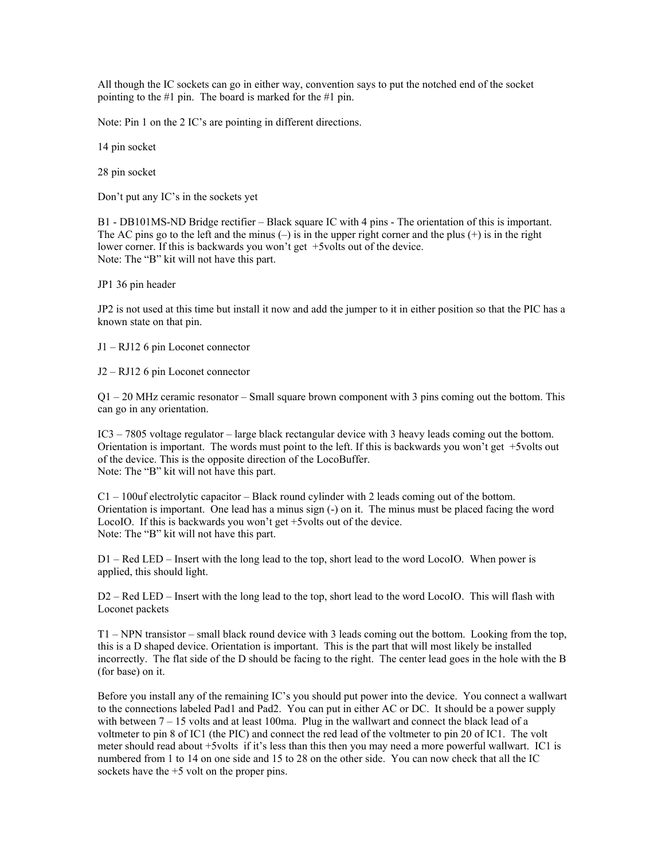All though the IC sockets can go in either way, convention says to put the notched end of the socket pointing to the #1 pin. The board is marked for the #1 pin.

Note: Pin 1 on the 2 IC's are pointing in different directions.

14 pin socket

28 pin socket

Don't put any IC's in the sockets yet

B1 - DB101MS-ND Bridge rectifier – Black square IC with 4 pins - The orientation of this is important. The AC pins go to the left and the minus  $(-)$  is in the upper right corner and the plus  $(+)$  is in the right lower corner. If this is backwards you won't get +5volts out of the device. Note: The "B" kit will not have this part.

JP1 36 pin header

JP2 is not used at this time but install it now and add the jumper to it in either position so that the PIC has a known state on that pin.

J1 – RJ12 6 pin Loconet connector

J2 – RJ12 6 pin Loconet connector

Q1 – 20 MHz ceramic resonator – Small square brown component with 3 pins coming out the bottom. This can go in any orientation.

IC3 – 7805 voltage regulator – large black rectangular device with 3 heavy leads coming out the bottom. Orientation is important. The words must point to the left. If this is backwards you won't get +5volts out of the device. This is the opposite direction of the LocoBuffer. Note: The "B" kit will not have this part.

C1 – 100uf electrolytic capacitor – Black round cylinder with 2 leads coming out of the bottom. Orientation is important. One lead has a minus sign (-) on it. The minus must be placed facing the word LocoIO. If this is backwards you won't get +5volts out of the device. Note: The "B" kit will not have this part.

D1 – Red LED – Insert with the long lead to the top, short lead to the word LocoIO. When power is applied, this should light.

D2 – Red LED – Insert with the long lead to the top, short lead to the word LocoIO. This will flash with Loconet packets

T1 – NPN transistor – small black round device with 3 leads coming out the bottom. Looking from the top, this is a D shaped device. Orientation is important. This is the part that will most likely be installed incorrectly. The flat side of the D should be facing to the right. The center lead goes in the hole with the B (for base) on it.

Before you install any of the remaining IC's you should put power into the device. You connect a wallwart to the connections labeled Pad1 and Pad2. You can put in either AC or DC. It should be a power supply with between  $7 - 15$  volts and at least 100ma. Plug in the wallwart and connect the black lead of a voltmeter to pin 8 of IC1 (the PIC) and connect the red lead of the voltmeter to pin 20 of IC1. The volt meter should read about +5volts if it's less than this then you may need a more powerful wallwart. IC1 is numbered from 1 to 14 on one side and 15 to 28 on the other side. You can now check that all the IC sockets have the  $+5$  volt on the proper pins.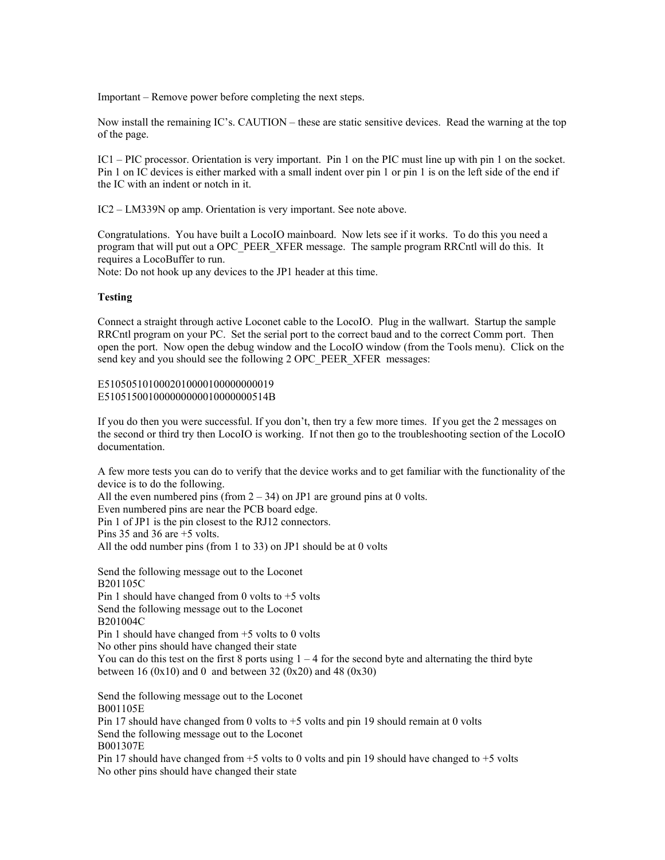Important – Remove power before completing the next steps.

Now install the remaining IC's. CAUTION – these are static sensitive devices. Read the warning at the top of the page.

IC1 – PIC processor. Orientation is very important. Pin 1 on the PIC must line up with pin 1 on the socket. Pin 1 on IC devices is either marked with a small indent over pin 1 or pin 1 is on the left side of the end if the IC with an indent or notch in it.

IC2 – LM339N op amp. Orientation is very important. See note above.

Congratulations. You have built a LocoIO mainboard. Now lets see if it works. To do this you need a program that will put out a OPC\_PEER\_XFER message. The sample program RRCntl will do this. It requires a LocoBuffer to run.

Note: Do not hook up any devices to the JP1 header at this time.

#### **Testing**

Connect a straight through active Loconet cable to the LocoIO. Plug in the wallwart. Startup the sample RRCntl program on your PC. Set the serial port to the correct baud and to the correct Comm port. Then open the port. Now open the debug window and the LocoIO window (from the Tools menu). Click on the send key and you should see the following 2 OPC\_PEER\_XFER\_messages:

E5105051010002010000100000000019 E510515001000000000010000000514B

If you do then you were successful. If you don't, then try a few more times. If you get the 2 messages on the second or third try then LocoIO is working. If not then go to the troubleshooting section of the LocoIO documentation.

A few more tests you can do to verify that the device works and to get familiar with the functionality of the device is to do the following.

All the even numbered pins (from  $2 - 34$ ) on JP1 are ground pins at 0 volts. Even numbered pins are near the PCB board edge. Pin 1 of JP1 is the pin closest to the RJ12 connectors. Pins 35 and 36 are  $+5$  volts. All the odd number pins (from 1 to 33) on JP1 should be at 0 volts

Send the following message out to the Loconet B201105C Pin 1 should have changed from 0 volts to  $+5$  volts Send the following message out to the Loconet B201004C Pin 1 should have changed from +5 volts to 0 volts No other pins should have changed their state You can do this test on the first 8 ports using  $1 - 4$  for the second byte and alternating the third byte between 16 (0x10) and 0 and between 32 (0x20) and 48 (0x30)

Send the following message out to the Loconet B001105E Pin 17 should have changed from 0 volts to  $+5$  volts and pin 19 should remain at 0 volts Send the following message out to the Loconet B001307E

Pin 17 should have changed from +5 volts to 0 volts and pin 19 should have changed to +5 volts No other pins should have changed their state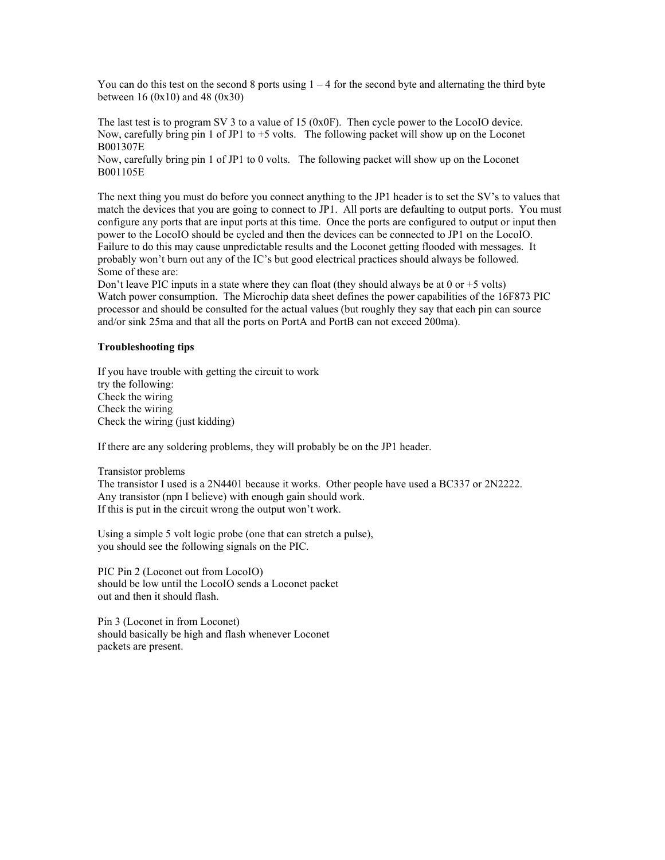You can do this test on the second 8 ports using  $1 - 4$  for the second byte and alternating the third byte between 16 (0x10) and 48 (0x30)

The last test is to program SV 3 to a value of 15  $(0x0F)$ . Then cycle power to the LocoIO device. Now, carefully bring pin 1 of JP1 to +5 volts. The following packet will show up on the Loconet B001307E

Now, carefully bring pin 1 of JP1 to 0 volts. The following packet will show up on the Loconet B001105E

The next thing you must do before you connect anything to the JP1 header is to set the SV's to values that match the devices that you are going to connect to JP1. All ports are defaulting to output ports. You must configure any ports that are input ports at this time. Once the ports are configured to output or input then power to the LocoIO should be cycled and then the devices can be connected to JP1 on the LocoIO. Failure to do this may cause unpredictable results and the Loconet getting flooded with messages. It probably won't burn out any of the IC's but good electrical practices should always be followed. Some of these are:

Don't leave PIC inputs in a state where they can float (they should always be at  $0$  or  $+5$  volts) Watch power consumption. The Microchip data sheet defines the power capabilities of the 16F873 PIC processor and should be consulted for the actual values (but roughly they say that each pin can source and/or sink 25ma and that all the ports on PortA and PortB can not exceed 200ma).

#### **Troubleshooting tips**

If you have trouble with getting the circuit to work try the following: Check the wiring Check the wiring Check the wiring (just kidding)

If there are any soldering problems, they will probably be on the JP1 header.

Transistor problems The transistor I used is a 2N4401 because it works. Other people have used a BC337 or 2N2222. Any transistor (npn I believe) with enough gain should work. If this is put in the circuit wrong the output won't work.

Using a simple 5 volt logic probe (one that can stretch a pulse), you should see the following signals on the PIC.

PIC Pin 2 (Loconet out from LocoIO) should be low until the LocoIO sends a Loconet packet out and then it should flash.

Pin 3 (Loconet in from Loconet) should basically be high and flash whenever Loconet packets are present.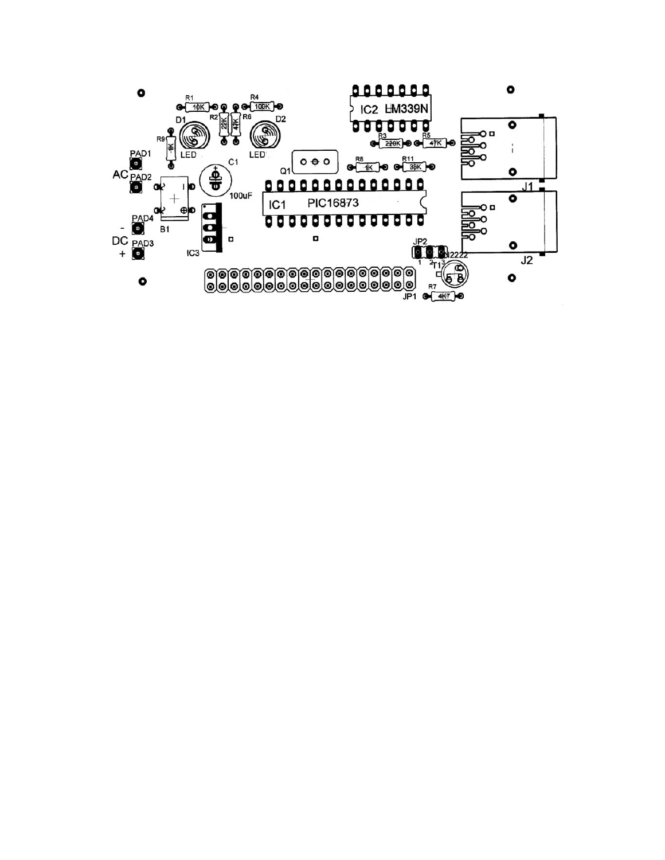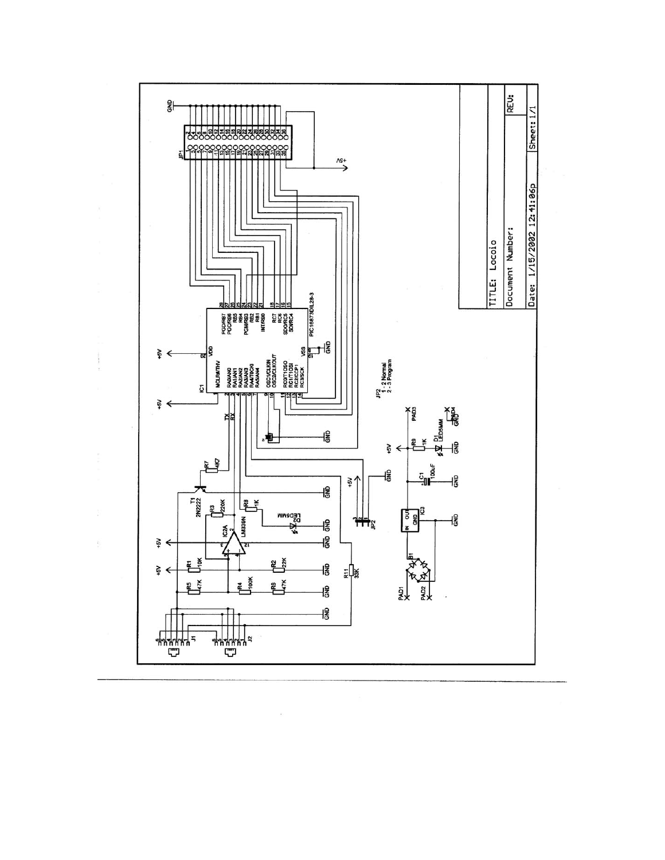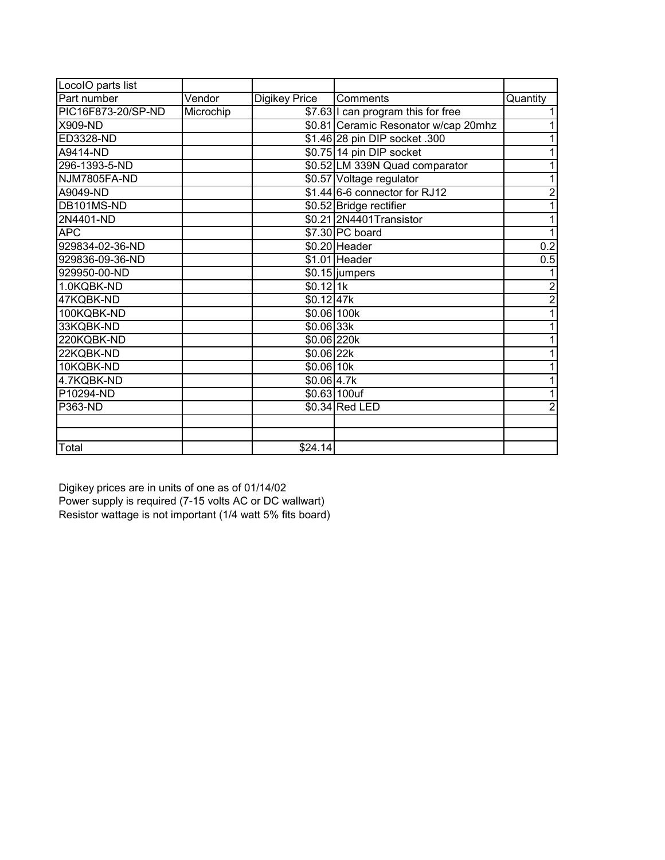| LocolO parts list  |           |               |                                      |                  |
|--------------------|-----------|---------------|--------------------------------------|------------------|
| Part number        | Vendor    | Digikey Price | Comments                             | Quantity         |
| PIC16F873-20/SP-ND | Microchip |               | \$7.63 I can program this for free   |                  |
| <b>X909-ND</b>     |           |               | \$0.81 Ceramic Resonator w/cap 20mhz |                  |
| ED3328-ND          |           |               | \$1.46 28 pin DIP socket .300        |                  |
| A9414-ND           |           |               | \$0.75 14 pin DIP socket             |                  |
| 296-1393-5-ND      |           |               | \$0.52 LM 339N Quad comparator       |                  |
| NJM7805FA-ND       |           |               | \$0.57 Voltage regulator             |                  |
| A9049-ND           |           |               | \$1.44 6-6 connector for RJ12        | 2                |
| DB101MS-ND         |           |               | \$0.52 Bridge rectifier              |                  |
| 2N4401-ND          |           |               | \$0.21 2N4401Transistor              |                  |
| <b>APC</b>         |           |               | \$7.30 PC board                      |                  |
| 929834-02-36-ND    |           |               | \$0.20 Header                        | $\overline{0.2}$ |
| 929836-09-36-ND    |           |               | \$1.01 Header                        | 0.5              |
| 929950-00-ND       |           |               | $\overline{\$0.15}$ jumpers          |                  |
| 1.0KQBK-ND         |           | $$0.12$ 1k    |                                      | $\overline{2}$   |
| 47KQBK-ND          |           | $$0.12$ 47k   |                                      | $\overline{2}$   |
| 100KQBK-ND         |           | \$0.06 100k   |                                      |                  |
| 33KQBK-ND          |           | $$0.06$ 33k   |                                      |                  |
| 220KQBK-ND         |           | \$0.06 220k   |                                      |                  |
| 22KQBK-ND          |           | \$0.06 22k    |                                      |                  |
| 10KQBK-ND          |           | \$0.06 10k    |                                      |                  |
| 4.7KQBK-ND         |           | $$0.06$ 4.7k  |                                      |                  |
| P10294-ND          |           |               | \$0.63 100uf                         |                  |
| $P363-ND$          |           |               | \$0.34 Red LED                       | $\overline{2}$   |
|                    |           |               |                                      |                  |
|                    |           |               |                                      |                  |
| Total              |           | \$24.14]      |                                      |                  |

Digikey prices are in units of one as of 01/14/02 Power supply is required (7-15 volts AC or DC wallwart) Resistor wattage is not important (1/4 watt 5% fits board)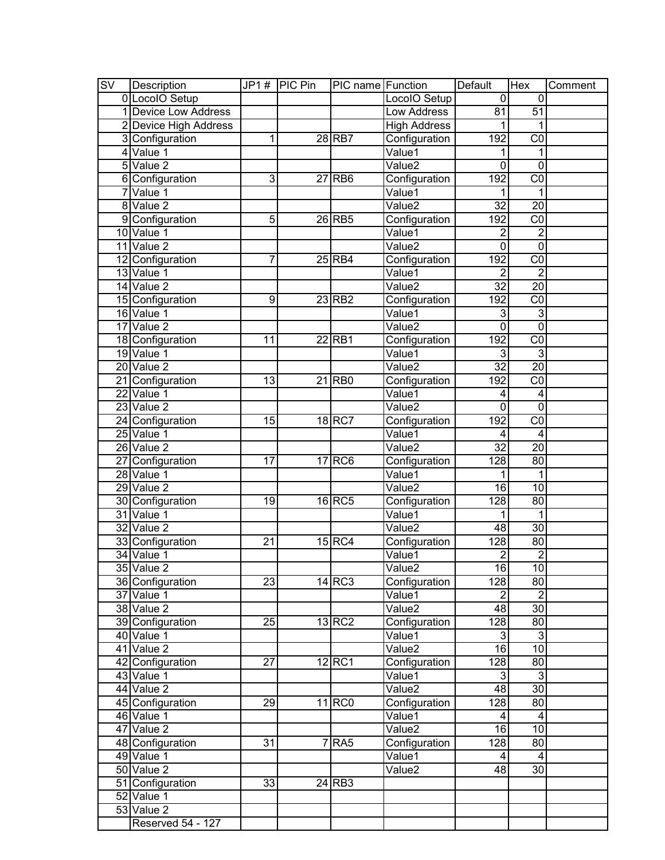| SV | Description                  |                 | JP1 # PIC Pin | PIC name Function |                     | <b>Default</b>   | <b>Hex</b>              | Comment |
|----|------------------------------|-----------------|---------------|-------------------|---------------------|------------------|-------------------------|---------|
|    | 0 LocolO Setup               |                 |               |                   | LocolO Setup        | $\pmb{0}$        | $\mathbf 0$             |         |
|    | 1 Device Low Address         |                 |               |                   | <b>Low Address</b>  | 81               | $\overline{51}$         |         |
|    | 2 Device High Address        |                 |               |                   | <b>High Address</b> | 1                | 1                       |         |
|    | 3 Configuration              | 1               |               | 28 RB7            | Configuration       | 192              | $\overline{C}0$         |         |
|    | 4 Value 1                    |                 |               |                   | Value1              | 1                | 1                       |         |
|    | 5 Value 2                    |                 |               |                   | Value <sub>2</sub>  | $\mathbf 0$      | 0                       |         |
|    | 6 Configuration              | 3               |               | 27 RB6            | Configuration       | 192              | CO                      |         |
|    | $7\overline{\text{Value}}$ 1 |                 |               |                   | Value1              | 1                | 1                       |         |
|    | 8 Value 2                    |                 |               |                   | Value2              | $\overline{32}$  | 20                      |         |
|    | 9 Configuration              | 5               |               | 26 RB5            | Configuration       | 192              | CO                      |         |
|    | 10 Value 1                   |                 |               |                   | Value1              | 2                | $\overline{2}$          |         |
|    | 11 Value 2                   |                 |               |                   | Value2              | $\mathbf 0$      | $\mathbf 0$             |         |
|    | 12 Configuration             | 7               |               | 25 RB4            | Configuration       | 192              | $\overline{C}0$         |         |
|    | 13 Value 1                   |                 |               |                   |                     | $\overline{2}$   | $\overline{2}$          |         |
|    |                              |                 |               |                   | Value1              | $\overline{32}$  | $\overline{20}$         |         |
|    | 14 Value 2                   |                 |               |                   | Value <sub>2</sub>  |                  |                         |         |
|    | 15 Configuration             | 9               |               | 23 RB2            | Configuration       | 192              | CO                      |         |
|    | 16 Value 1                   |                 |               |                   | Value1              | 3                | 3                       |         |
|    | 17 Value 2                   |                 |               |                   | Value2              | $\mathbf 0$      | $\mathbf 0$             |         |
|    | 18 Configuration             | 11              |               | 22 RB1            | Configuration       | 192              | CO                      |         |
|    | 19 Value 1                   |                 |               |                   | Value1              | 3                | 3                       |         |
|    | 20 Value 2                   |                 |               |                   | Value <sub>2</sub>  | $\overline{32}$  | $\overline{20}$         |         |
|    | 21 Configuration             | 13              |               | 21 RB0            | Configuration       | 192              | $\overline{C}0$         |         |
|    | 22 Value 1                   |                 |               |                   | Value1              | 4                | 4                       |         |
|    | 23 Value 2                   |                 |               |                   | Value2              | 0                | $\mathbf 0$             |         |
|    | 24 Configuration             | $\overline{15}$ |               | 18 RC7            | Configuration       | 192              | $\overline{C}0$         |         |
|    | 25 Value 1                   |                 |               |                   | Value1              | 4                | $\overline{4}$          |         |
|    | 26 Value 2                   |                 |               |                   | Value <sub>2</sub>  | $\overline{32}$  | $\overline{20}$         |         |
|    | 27 Configuration             | $\overline{17}$ |               | 17 RC6            | Configuration       | $\overline{128}$ | 80                      |         |
|    | 28 Value 1                   |                 |               |                   | Value1              | 1                | 1                       |         |
|    | 29 Value 2                   |                 |               |                   | Value <sub>2</sub>  | 16               | $\overline{10}$         |         |
|    | 30 Configuration             | $\overline{19}$ |               | <b>16 RC5</b>     | Configuration       | $\overline{128}$ | 80                      |         |
|    | 31 Value 1                   |                 |               |                   | Value1              | 1                | 1                       |         |
|    | 32 Value 2                   |                 |               |                   | Value <sub>2</sub>  | $\overline{48}$  | $\overline{30}$         |         |
|    | 33 Configuration             | $\overline{21}$ |               | 15 RC4            | Configuration       | 128              | 80                      |         |
|    | 34 Value 1                   |                 |               |                   | Value1              | $\overline{2}$   | $\overline{2}$          |         |
|    | 35 Value 2                   |                 |               |                   | Value <sub>2</sub>  | 16               | 10                      |         |
|    | 36 Configuration             | 23              |               | 14 RC3            | Configuration       | 128              | 80                      |         |
|    | $37$ Value 1                 |                 |               |                   | Value1              | $\overline{2}$   | $\overline{2}$          |         |
|    | 38 Value 2                   |                 |               |                   | Value2              | 48               | $\overline{30}$         |         |
|    | 39 Configuration             | 25              |               | 13 RC2            | Configuration       | $\overline{128}$ | 80                      |         |
|    | 40 Value 1                   |                 |               |                   | Value1              | 3                | 3                       |         |
|    | 41 Value 2                   |                 |               |                   | Value <sub>2</sub>  | $\overline{16}$  | $\overline{10}$         |         |
|    | 42 Configuration             | 27              |               | $12$ RC1          | Configuration       | 128              | 80                      |         |
|    | 43 Value 1                   |                 |               |                   | Value1              | 3                | دن                      |         |
|    | 44 Value 2                   |                 |               |                   | Value2              | 48               | 30                      |         |
|    | 45 Configuration             | 29              |               | 11 RC0            | Configuration       | 128              | 80                      |         |
|    | 46 Value 1                   |                 |               |                   | Value1              | 4                | 4                       |         |
|    |                              |                 |               |                   | Value2              | 16               | 10                      |         |
|    | 47 Value 2                   | 31              |               |                   |                     |                  |                         |         |
|    | 48 Configuration             |                 |               | <b>7 RA5</b>      | Configuration       | 128              | 80                      |         |
|    | 49 Value 1                   |                 |               |                   | Value1              | 4                | $\overline{\mathbf{4}}$ |         |
|    | 50 Value 2                   |                 |               |                   | Value2              | 48               | 30                      |         |
|    | 51 Configuration             | 33              |               | 24 RB3            |                     |                  |                         |         |
|    | 52 Value 1                   |                 |               |                   |                     |                  |                         |         |
|    | 53 Value 2                   |                 |               |                   |                     |                  |                         |         |
|    | Reserved 54 - 127            |                 |               |                   |                     |                  |                         |         |